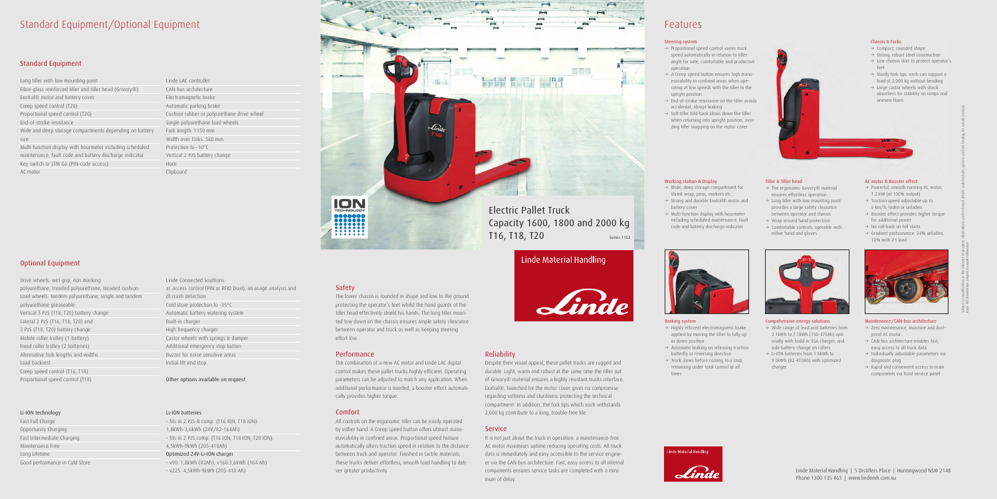# Standard Equipment/Optional Equipment

## Standard Equipment

Long tiller with low mounting point Fibre-glass reinforced tiller and tiller head (Grivory®) Exxtral® motor and battery cover Creep speed control (T20) Proportional speed control (T20) End-of-stroke resistance Wide and deep storage compartments depending on battery size Multi-function display with hourmeter including scheduled maintenance, fault code and battery discharge indicator Key switch or LFM Go (PIN-code access) AC motor

# Optional Equipment

Drive wheels: wet grip, non marking polyurethane, treaded polyurethane, treaded cushion Load wheels: tandem polyurethane, single and tandem polyurethane greaseable Vertical 3 PzS (T18, T20) battery change Lateral 2 PzS (T16, T18, T20) and 3 PzS (T18, T20) battery change Mobile roller trolley (1 battery) Fixed roller trolley (2 batteries) Alternative fork lengths and widths Load backrest Creep speed control (T16, T18) Proportional speed control (T18)

### Li-ION technology

Fast Full Charge Opportunity Charging Fast Intermediate Charging Maintenance Free Long Lifetime Good performance in Cold Store

Linde LAC controller CAN-bus architecture Electromagnetic brake Automatic parking brake Cushion rubber or polyurethane drive wheel Single polyurethane load wheels Fork length: 1150 mm Width over forks: 560 mm Protection to -10°C Vertical 2 PzS battery change Horn Clipboard

Linde Connected Soultions: ac:access control (PIN or RFID Dual), an:usage analysis and dt:crash detection Cold store protection to -35°C Automatic battery watering system Built-in charger High frequency charger Castor wheels with springs & damper Additional emergency stop button Buzzer for noise sensitive areas Initial lift end stop

Other options available on request

#### Li-ION batteries

- fits in 2 PzS-B comp. (T16 ION, T18 ION): 1,8kWh-3,6kWh (24V/82-164Ah) - fits in 2 PzS comp. (T16 ION, T18 ION, T20 ION): 4,5kWh-9kWh (205-410Ah) Optimized 24V-Li-ION charger - v90: 1,8kWh (82Ah); v160:3,6kWh (164 Ah) - v225: 4,5kWh-9kWh (205-410 Ah)

 $\rightarrow$  Highly efficient electromagnetic brake applied by moving the tiller to fully up

 $\rightarrow$  Automatic braking on releasing traction butterfly or reversing direction  $\rightarrow$  Truck slows before coming to a stop, remaining under total control at all

### Safety

- $\rightarrow$  Wide, deep storage compartment for shrink wrap, pens, markers etc.
- $\rightarrow$  Strong and durable Exxtral® motor and battery cover
- $\rightarrow$  Multi-function display with hourmeter including scheduled maintenance, fault code and battery discharge indicator

The lower chassis is rounded in shape and low to the ground protecting the operator's feet whilst the hand guards of the tiller head effectively shield his hands. The long tiller mounted low down on the chassis ensures ample safety clearance between operator and truck as well as keeping steering effort low.

### Performance

- $\rightarrow$  Powerful, smooth-running AC motor, 1.2 kW (at 100% output)
- $\rightarrow$  Traction speed adjustable up to 6 km/h, laden or unladen
- $\rightarrow$  Booster effect provides higher torque for additional power
- $\rightarrow$  No roll-back on hill starts  $\rightarrow$  Gradient performance: 24% unladen,
- 10% with 2 t load



The combination of a new AC motor and Linde LAC digital control makes these pallet trucks highly efficient. Operating parameters can be adjusted to match any application. When additional performance is needed, a booster effect automatically provides higher torque.

- $\rightarrow$  Zero maintenance, moisture and dustproof AC motor
- $\rightarrow$  CAN-bus architecture enables fast, easy access to all truck data
- $\rightarrow$  Individually adjustable parameters via diagnostic plug
- $\rightarrow$  Rapid and convenient access to main components via front service panel



### Comfort

- $\rightarrow$  Compact, rounded shape
- $\rightarrow$  Strong, robust steel construction
- $\rightarrow$  Low chassis skirt to protect operator's feet
- $\rightarrow$  Sturdy fork tips: each can support a load of 2,000 kg without bending
- $\rightarrow$  Large castor wheels with shock absorbers for stability on ramps and uneven floors

All controls on the ergonomic tiller can be easily operated by either hand. A Creep speed button offers utmost manoeuvrability in confined areas. Proportional speed feature automatically alters traction speed in relation to the distance between truck and operator. Finished in tactile materials, these trucks deliver effortless, smooth load handling to deliver greater productivity.

 $\rightarrow$  Comfortable controls, operable with either hand and gloves

## Reliability

- $\rightarrow$  Proportional speed control varies truck speed automatically in relation to tiller angle for safe, comfortable and productive operation
- $\rightarrow$  A Creep speed button ensures high manoeuvrability in confined areas when operating at low speeds with the tiller in the upright position
- $\rightarrow$  End-of-stroke resistance on the tiller avoids accidental, abrupt braking
- $\rightarrow$  Soft tiller fold-back slows down the tiller when returning into upright position, avoiding tiller snapping on the motor cover



Despite their visual appeal, these pallet trucks are rugged and durable. Light, warm and robust at the same time the tiller out of Grivory® material ensures a highly resistant trucks interface. Exxtral®, launched for the motor cover gives no compromise regarding softness and sturdiness protecting the technical compartment. In addition, the fork tips which each withstands 2,000 kg contribute to a long, trouble-free life.

## Service

It is not just about the truck in operation: a maintenance-free AC motor maximises uptime reducing operating costs. All truck data is immediately and easy accessible to the service engineer via the CAN-bus architecture. Fast, easy access to all internal components ensures service tasks are completed with a minimum of delay.

# Linde Material Handling



# Features

Braking system

or down position

times

### Working station & Display

Compehensive energy solutions  $\rightarrow$  Wide range of lead acid batteries from 2.1kWh to 7.1kWh (150-375Ah) optionally with build in 35A charger, and side battery change on rollers  $\rightarrow$  Li-ION batteries from 1.8kWh to 9.0kWh (82-410Ah) with optimized

charger

## AC motor & Booster effect

#### Maintenance/CAN-bus architecture

### Chassis & Forks

### Tiller & Tiller head

- $\rightarrow$  The ergonomic Grivory® material ensures effortless operation
- $\rightarrow$  Long tiller with low mounting point provides a large safety clearance
- between operator and chassis  $\rightarrow$  Wrap-around hand protection

### Steering system